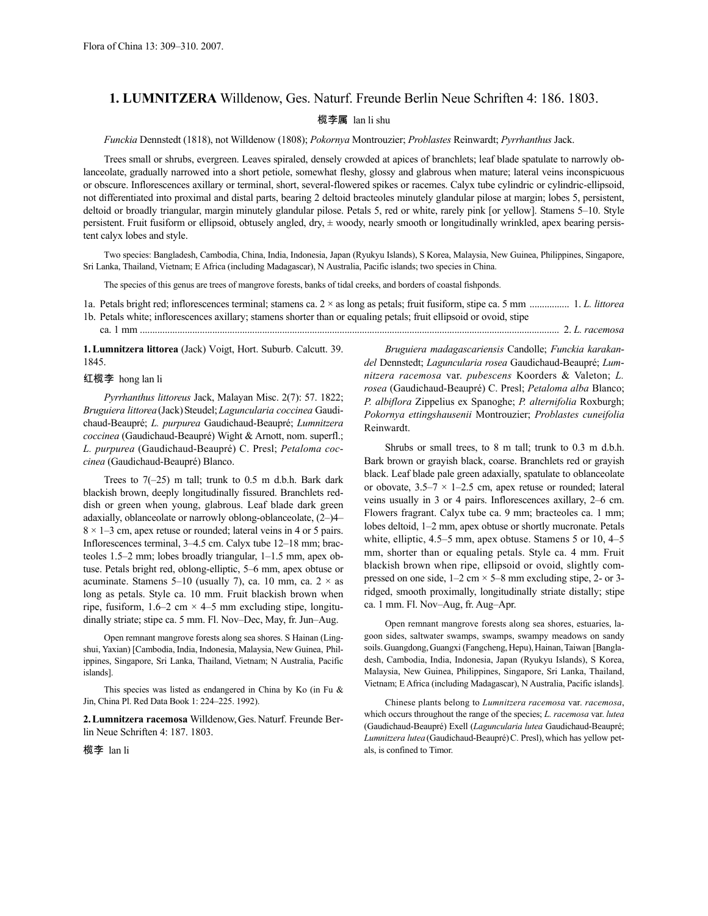## **1. LUMNITZERA** Willdenow, Ges. Naturf. Freunde Berlin Neue Schriften 4: 186. 1803.

## 榄李属 lan li shu

*Funckia* Dennstedt (1818), not Willdenow (1808); *Pokornya* Montrouzier; *Problastes* Reinwardt; *Pyrrhanthus* Jack.

Trees small or shrubs, evergreen. Leaves spiraled, densely crowded at apices of branchlets; leaf blade spatulate to narrowly oblanceolate, gradually narrowed into a short petiole, somewhat fleshy, glossy and glabrous when mature; lateral veins inconspicuous or obscure. Inflorescences axillary or terminal, short, several-flowered spikes or racemes. Calyx tube cylindric or cylindric-ellipsoid, not differentiated into proximal and distal parts, bearing 2 deltoid bracteoles minutely glandular pilose at margin; lobes 5, persistent, deltoid or broadly triangular, margin minutely glandular pilose. Petals 5, red or white, rarely pink [or yellow]. Stamens 5–10. Style persistent. Fruit fusiform or ellipsoid, obtusely angled, dry, ± woody, nearly smooth or longitudinally wrinkled, apex bearing persistent calyx lobes and style.

Two species: Bangladesh, Cambodia, China, India, Indonesia, Japan (Ryukyu Islands), S Korea, Malaysia, New Guinea, Philippines, Singapore, Sri Lanka, Thailand, Vietnam; E Africa (including Madagascar), N Australia, Pacific islands; two species in China.

The species of this genus are trees of mangrove forests, banks of tidal creeks, and borders of coastal fishponds.

1a. Petals bright red; inflorescences terminal; stamens ca. 2 × as long as petals; fruit fusiform, stipe ca. 5 mm ................ 1. *L. littorea*

1b. Petals white; inflorescences axillary; stamens shorter than or equaling petals; fruit ellipsoid or ovoid, stipe

ca. 1 mm ........................................................................................................................................................................ 2. *L. racemosa*

**1.Lumnitzera littorea** (Jack) Voigt, Hort. Suburb. Calcutt. 39. 1845.

## 红榄李 hong lan li

*Pyrrhanthus littoreus* Jack, Malayan Misc. 2(7): 57. 1822; *Bruguiera littorea*(Jack)Steudel;*Laguncularia coccinea* Gaudichaud-Beaupré; *L. purpurea* Gaudichaud-Beaupré; *Lumnitzera coccinea* (Gaudichaud-Beaupré) Wight & Arnott, nom. superfl.; *L. purpurea* (Gaudichaud-Beaupré) C. Presl; *Petaloma coccinea* (Gaudichaud-Beaupré) Blanco.

Trees to  $7(-25)$  m tall; trunk to 0.5 m d.b.h. Bark dark blackish brown, deeply longitudinally fissured. Branchlets reddish or green when young, glabrous. Leaf blade dark green adaxially, oblanceolate or narrowly oblong-oblanceolate, (2–)4–  $8 \times 1 - 3$  cm, apex retuse or rounded; lateral veins in 4 or 5 pairs. Inflorescences terminal, 3–4.5 cm. Calyx tube 12–18 mm; bracteoles 1.5–2 mm; lobes broadly triangular, 1–1.5 mm, apex obtuse. Petals bright red, oblong-elliptic, 5–6 mm, apex obtuse or acuminate. Stamens 5–10 (usually 7), ca. 10 mm, ca.  $2 \times$  as long as petals. Style ca. 10 mm. Fruit blackish brown when ripe, fusiform,  $1.6-2$  cm  $\times$  4-5 mm excluding stipe, longitudinally striate; stipe ca. 5 mm. Fl. Nov–Dec, May, fr. Jun–Aug.

Open remnant mangrove forests along sea shores. S Hainan (Lingshui, Yaxian) [Cambodia, India, Indonesia, Malaysia, New Guinea, Philippines, Singapore, Sri Lanka, Thailand, Vietnam; N Australia, Pacific islands].

This species was listed as endangered in China by Ko (in Fu & Jin, China Pl. Red Data Book 1: 224–225. 1992).

**2.Lumnitzera racemosa** Willdenow,Ges.Naturf. Freunde Berlin Neue Schriften 4: 187. 1803.

榄李 lan li

*Bruguiera madagascariensis* Candolle; *Funckia karakandel* Dennstedt; *Laguncularia rosea* Gaudichaud-Beaupré; *Lumnitzera racemosa* var. *pubescens* Koorders & Valeton; *L. rosea* (Gaudichaud-Beaupré) C. Presl; *Petaloma alba* Blanco; *P. albiflora* Zippelius ex Spanoghe; *P. alternifolia* Roxburgh; *Pokornya ettingshausenii* Montrouzier; *Problastes cuneifolia* Reinwardt.

Shrubs or small trees, to 8 m tall; trunk to 0.3 m d.b.h. Bark brown or grayish black, coarse. Branchlets red or grayish black. Leaf blade pale green adaxially, spatulate to oblanceolate or obovate,  $3.5-7 \times 1-2.5$  cm, apex retuse or rounded; lateral veins usually in 3 or 4 pairs. Inflorescences axillary, 2–6 cm. Flowers fragrant. Calyx tube ca. 9 mm; bracteoles ca. 1 mm; lobes deltoid, 1–2 mm, apex obtuse or shortly mucronate. Petals white, elliptic, 4.5–5 mm, apex obtuse. Stamens 5 or 10, 4–5 mm, shorter than or equaling petals. Style ca. 4 mm. Fruit blackish brown when ripe, ellipsoid or ovoid, slightly compressed on one side,  $1-2$  cm  $\times$  5–8 mm excluding stipe, 2- or 3ridged, smooth proximally, longitudinally striate distally; stipe ca. 1 mm. Fl. Nov–Aug, fr. Aug–Apr.

Open remnant mangrove forests along sea shores, estuaries, lagoon sides, saltwater swamps, swamps, swampy meadows on sandy soils. Guangdong, Guangxi (Fangcheng, Hepu), Hainan, Taiwan [Bangladesh, Cambodia, India, Indonesia, Japan (Ryukyu Islands), S Korea, Malaysia, New Guinea, Philippines, Singapore, Sri Lanka, Thailand, Vietnam; E Africa (including Madagascar), N Australia, Pacific islands].

Chinese plants belong to *Lumnitzera racemosa* var. *racemosa*, which occurs throughout the range of the species; *L. racemosa* var. *lutea* (Gaudichaud-Beaupré) Exell (*Laguncularia lutea* Gaudichaud-Beaupré; Lumnitzera lutea (Gaudichaud-Beaupré) C. Presl), which has yellow petals, is confined to Timor.